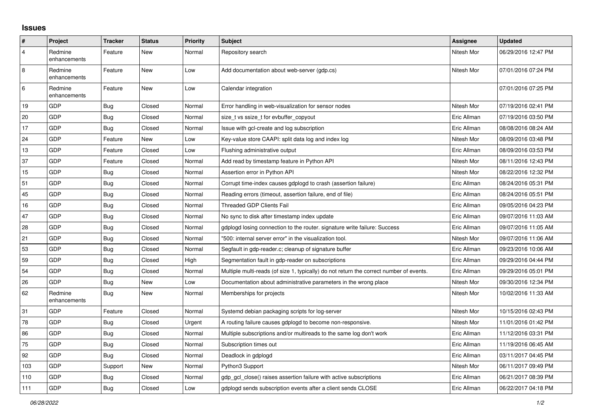## **Issues**

| #       | Project                 | <b>Tracker</b> | <b>Status</b> | <b>Priority</b> | <b>Subject</b>                                                                          | Assignee    | <b>Updated</b>      |
|---------|-------------------------|----------------|---------------|-----------------|-----------------------------------------------------------------------------------------|-------------|---------------------|
| 4       | Redmine<br>enhancements | Feature        | New           | Normal          | Repository search                                                                       | Nitesh Mor  | 06/29/2016 12:47 PM |
| 8       | Redmine<br>enhancements | Feature        | New           | Low             | Add documentation about web-server (gdp.cs)                                             | Nitesh Mor  | 07/01/2016 07:24 PM |
| $\,6\,$ | Redmine<br>enhancements | Feature        | New           | Low             | Calendar integration                                                                    |             | 07/01/2016 07:25 PM |
| 19      | GDP                     | Bug            | Closed        | Normal          | Error handling in web-visualization for sensor nodes                                    | Nitesh Mor  | 07/19/2016 02:41 PM |
| 20      | GDP                     | Bug            | Closed        | Normal          | size t vs ssize t for evbuffer copyout                                                  | Eric Allman | 07/19/2016 03:50 PM |
| 17      | GDP                     | Bug            | Closed        | Normal          | Issue with gcl-create and log subscription                                              | Eric Allman | 08/08/2016 08:24 AM |
| 24      | GDP                     | Feature        | New           | Low             | Key-value store CAAPI: split data log and index log                                     | Nitesh Mor  | 08/09/2016 03:48 PM |
| 13      | GDP                     | Feature        | Closed        | Low             | Flushing administrative output                                                          | Eric Allman | 08/09/2016 03:53 PM |
| 37      | GDP                     | Feature        | Closed        | Normal          | Add read by timestamp feature in Python API                                             | Nitesh Mor  | 08/11/2016 12:43 PM |
| 15      | GDP                     | Bug            | Closed        | Normal          | Assertion error in Python API                                                           | Nitesh Mor  | 08/22/2016 12:32 PM |
| 51      | GDP                     | <b>Bug</b>     | Closed        | Normal          | Corrupt time-index causes gdplogd to crash (assertion failure)                          | Eric Allman | 08/24/2016 05:31 PM |
| 45      | GDP                     | Bug            | Closed        | Normal          | Reading errors (timeout, assertion failure, end of file)                                | Eric Allman | 08/24/2016 05:51 PM |
| 16      | GDP                     | <b>Bug</b>     | Closed        | Normal          | <b>Threaded GDP Clients Fail</b>                                                        | Eric Allman | 09/05/2016 04:23 PM |
| 47      | GDP                     | <b>Bug</b>     | Closed        | Normal          | No sync to disk after timestamp index update                                            | Eric Allman | 09/07/2016 11:03 AM |
| 28      | GDP                     | <b>Bug</b>     | Closed        | Normal          | gdplogd losing connection to the router. signature write failure: Success               | Eric Allman | 09/07/2016 11:05 AM |
| 21      | GDP                     | <b>Bug</b>     | Closed        | Normal          | "500: internal server error" in the visualization tool.                                 | Nitesh Mor  | 09/07/2016 11:06 AM |
| 53      | GDP                     | Bug            | Closed        | Normal          | Segfault in gdp-reader.c; cleanup of signature buffer                                   | Eric Allman | 09/23/2016 10:06 AM |
| 59      | GDP                     | Bug            | Closed        | High            | Segmentation fault in gdp-reader on subscriptions                                       | Eric Allman | 09/29/2016 04:44 PM |
| 54      | GDP                     | Bug            | Closed        | Normal          | Multiple multi-reads (of size 1, typically) do not return the correct number of events. | Eric Allman | 09/29/2016 05:01 PM |
| 26      | GDP                     | <b>Bug</b>     | New           | Low             | Documentation about administrative parameters in the wrong place                        | Nitesh Mor  | 09/30/2016 12:34 PM |
| 62      | Redmine<br>enhancements | Bug            | New           | Normal          | Memberships for projects                                                                | Nitesh Mor  | 10/02/2016 11:33 AM |
| 31      | GDP                     | Feature        | Closed        | Normal          | Systemd debian packaging scripts for log-server                                         | Nitesh Mor  | 10/15/2016 02:43 PM |
| 78      | GDP                     | Bug            | Closed        | Urgent          | A routing failure causes gdplogd to become non-responsive.                              | Nitesh Mor  | 11/01/2016 01:42 PM |
| 86      | GDP                     | <b>Bug</b>     | Closed        | Normal          | Multiple subscriptions and/or multireads to the same log don't work                     | Eric Allman | 11/12/2016 03:31 PM |
| 75      | GDP                     | <b>Bug</b>     | Closed        | Normal          | Subscription times out                                                                  | Eric Allman | 11/19/2016 06:45 AM |
| 92      | GDP                     | <b>Bug</b>     | Closed        | Normal          | Deadlock in gdplogd                                                                     | Eric Allman | 03/11/2017 04:45 PM |
| 103     | GDP                     | Support        | New           | Normal          | Python3 Support                                                                         | Nitesh Mor  | 06/11/2017 09:49 PM |
| 110     | GDP                     | <b>Bug</b>     | Closed        | Normal          | gdp gcl close() raises assertion failure with active subscriptions                      | Eric Allman | 06/21/2017 08:39 PM |
| 111     | GDP                     | <b>Bug</b>     | Closed        | Low             | adpload sends subscription events after a client sends CLOSE                            | Eric Allman | 06/22/2017 04:18 PM |